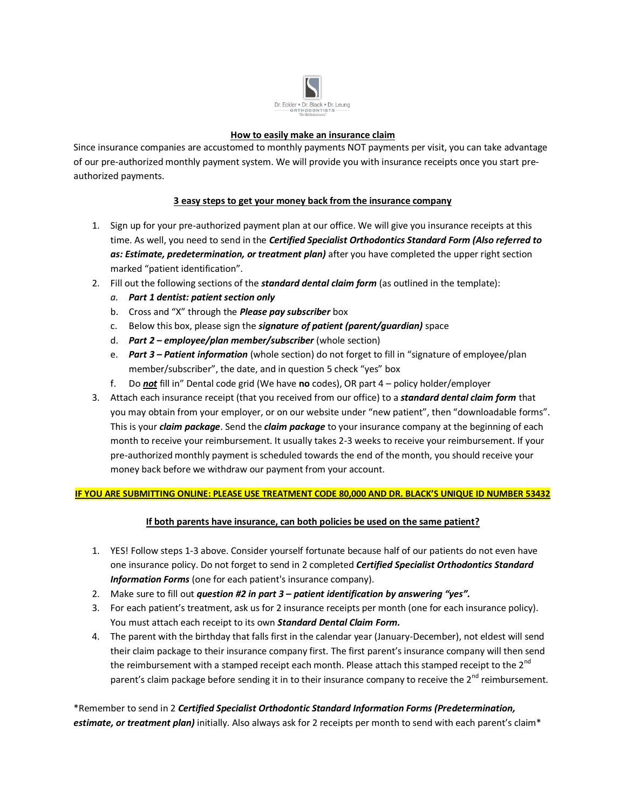

### **How to easily make an insurance claim**

Since insurance companies are accustomed to monthly payments NOT payments per visit, you can take advantage of our pre-authorized monthly payment system. We will provide you with insurance receipts once you start preauthorized payments.

# **3 easy steps to get your money back from the insurance company**

- 1. Sign up for your pre-authorized payment plan at our office. We will give you insurance receipts at this time. As well, you need to send in the *Certified Specialist Orthodontics Standard Form (Also referred to as: Estimate, predetermination, or treatment plan)* after you have completed the upper right section marked "patient identification".
- 2. Fill out the following sections of the *standard dental claim form* (as outlined in the template):
	- *a. Part 1 dentist: patient section only*
	- b. Cross and "X" through the *Please pay subscriber* box
	- c. Below this box, please sign the *signature of patient (parent/guardian)* space
	- d. *Part 2 – employee/plan member/subscriber* (whole section)
	- e. *Part 3 – Patient information* (whole section) do not forget to fill in "signature of employee/plan member/subscriber", the date, and in question 5 check "yes" box
	- f. Do *not* fill in" Dental code grid (We have **no** codes), OR part 4 policy holder/employer
- 3. Attach each insurance receipt (that you received from our office) to a *standard dental claim form* that you may obtain from your employer, or on our website under "new patient", then "downloadable forms". This is your *claim package*. Send the *claim package* to your insurance company at the beginning of each month to receive your reimbursement. It usually takes 2-3 weeks to receive your reimbursement. If your pre-authorized monthly payment is scheduled towards the end of the month, you should receive your money back before we withdraw our payment from your account.

## **IF YOU ARE SUBMITTING ONLINE: PLEASE USE TREATMENT CODE 80,000 AND DR. BLACK'S UNIQUE ID NUMBER 53432**

## **If both parents have insurance, can both policies be used on the same patient?**

- 1. YES! Follow steps 1-3 above. Consider yourself fortunate because half of our patients do not even have one insurance policy. Do not forget to send in 2 completed *Certified Specialist Orthodontics Standard Information Forms* (one for each patient's insurance company).
- 2. Make sure to fill out *question #2 in part 3 – patient identification by answering "yes".*
- 3. For each patient's treatment, ask us for 2 insurance receipts per month (one for each insurance policy). You must attach each receipt to its own *Standard Dental Claim Form.*
- 4. The parent with the birthday that falls first in the calendar year (January-December), not eldest will send their claim package to their insurance company first. The first parent's insurance company will then send the reimbursement with a stamped receipt each month. Please attach this stamped receipt to the  $2^{nd}$ parent's claim package before sending it in to their insurance company to receive the 2<sup>nd</sup> reimbursement.

\*Remember to send in 2 *Certified Specialist Orthodontic Standard Information Forms (Predetermination, estimate, or treatment plan)* initially. Also always ask for 2 receipts per month to send with each parent's claim\*